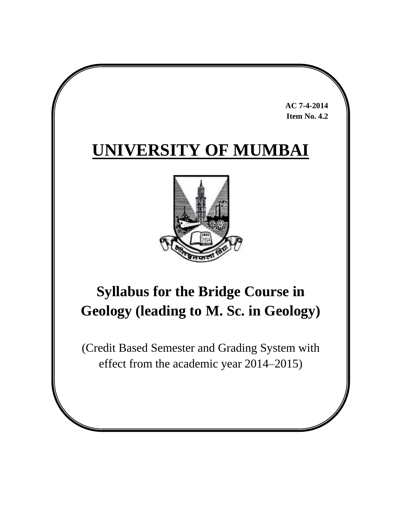**AC 7-4-2014 Item No. 4.2**

# **UNIVERSITY OF MUMBAI**



# **Syllabus for the Bridge Course in Geology (leading to M. Sc. in Geology)**

(Credit Based Semester and Grading System with effect from the academic year 2014–2015)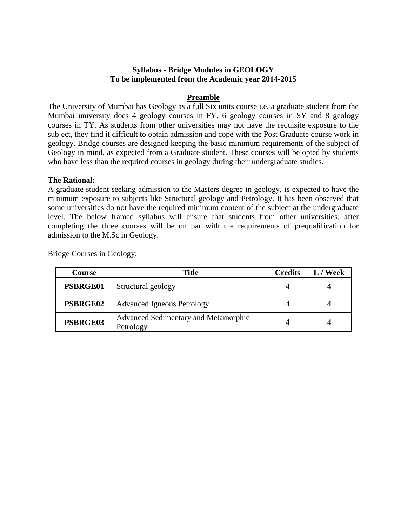### **Syllabus - Bridge Modules in GEOLOGY To be implemented from the Academic year 2014-2015**

#### **Preamble**

The University of Mumbai has Geology as a full Six units course i.e. a graduate student from the Mumbai university does 4 geology courses in FY, 6 geology courses in SY and 8 geology courses in TY. As students from other universities may not have the requisite exposure to the subject, they find it difficult to obtain admission and cope with the Post Graduate course work in geology. Bridge courses are designed keeping the basic minimum requirements of the subject of Geology in mind, as expected from a Graduate student. These courses will be opted by students who have less than the required courses in geology during their undergraduate studies.

#### **The Rational:**

A graduate student seeking admission to the Masters degree in geology, is expected to have the minimum exposure to subjects like Structural geology and Petrology. It has been observed that some universities do not have the required minimum content of the subject at the undergraduate level. The below framed syllabus will ensure that students from other universities, after completing the three courses will be on par with the requirements of prequalification for admission to the M.Sc in Geology.

| <b>Course</b>   | Title                                             | <b>Credits</b> | L / Week |
|-----------------|---------------------------------------------------|----------------|----------|
| PSBRGE01        | Structural geology                                |                |          |
| PSBRGE02        | <b>Advanced Igneous Petrology</b>                 |                |          |
| <b>PSBRGE03</b> | Advanced Sedimentary and Metamorphic<br>Petrology |                |          |

Bridge Courses in Geology: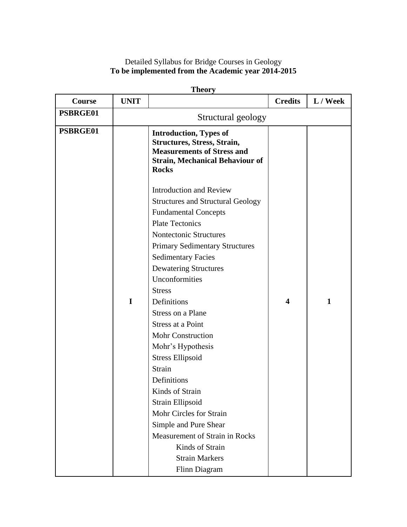# Detailed Syllabus for Bridge Courses in Geology **To be implemented from the Academic year 2014-2015**

| Course   | <b>UNIT</b> |                                                                                                                                                                                                                                                                                                                                                                                                                                                                                                                                                                                                                                                                              | <b>Credits</b>          | L / Week     |
|----------|-------------|------------------------------------------------------------------------------------------------------------------------------------------------------------------------------------------------------------------------------------------------------------------------------------------------------------------------------------------------------------------------------------------------------------------------------------------------------------------------------------------------------------------------------------------------------------------------------------------------------------------------------------------------------------------------------|-------------------------|--------------|
| PSBRGE01 |             | Structural geology                                                                                                                                                                                                                                                                                                                                                                                                                                                                                                                                                                                                                                                           |                         |              |
| PSBRGE01 |             | <b>Introduction, Types of</b><br><b>Structures, Stress, Strain,</b><br><b>Measurements of Stress and</b><br><b>Strain, Mechanical Behaviour of</b><br><b>Rocks</b>                                                                                                                                                                                                                                                                                                                                                                                                                                                                                                           |                         |              |
|          | I           | <b>Introduction and Review</b><br><b>Structures and Structural Geology</b><br><b>Fundamental Concepts</b><br><b>Plate Tectonics</b><br>Nontectonic Structures<br><b>Primary Sedimentary Structures</b><br><b>Sedimentary Facies</b><br><b>Dewatering Structures</b><br>Unconformities<br><b>Stress</b><br>Definitions<br>Stress on a Plane<br><b>Stress at a Point</b><br><b>Mohr Construction</b><br>Mohr's Hypothesis<br><b>Stress Ellipsoid</b><br>Strain<br>Definitions<br>Kinds of Strain<br>Strain Ellipsoid<br>Mohr Circles for Strain<br>Simple and Pure Shear<br><b>Measurement of Strain in Rocks</b><br>Kinds of Strain<br><b>Strain Markers</b><br>Flinn Diagram | $\overline{\mathbf{4}}$ | $\mathbf{1}$ |

**Theory**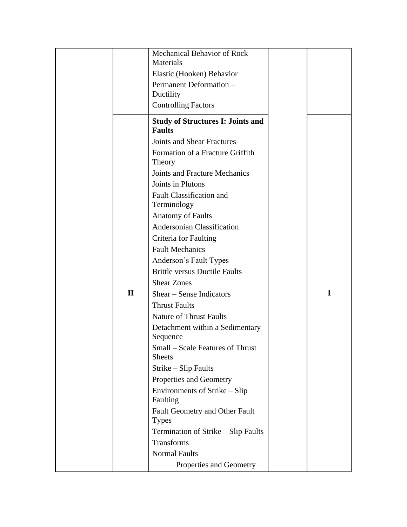|              | Mechanical Behavior of Rock                               |              |
|--------------|-----------------------------------------------------------|--------------|
|              | Materials                                                 |              |
|              | Elastic (Hooken) Behavior                                 |              |
|              | Permanent Deformation -                                   |              |
|              | Ductility                                                 |              |
|              | <b>Controlling Factors</b>                                |              |
|              | <b>Study of Structures I: Joints and</b><br><b>Faults</b> |              |
|              | <b>Joints and Shear Fractures</b>                         |              |
|              | Formation of a Fracture Griffith<br>Theory                |              |
|              | <b>Joints and Fracture Mechanics</b>                      |              |
|              | Joints in Plutons                                         |              |
|              | <b>Fault Classification and</b>                           |              |
|              | Terminology                                               |              |
|              | <b>Anatomy of Faults</b>                                  |              |
|              | <b>Andersonian Classification</b>                         |              |
|              | Criteria for Faulting                                     |              |
|              | <b>Fault Mechanics</b>                                    |              |
|              | Anderson's Fault Types                                    |              |
|              | <b>Brittle versus Ductile Faults</b>                      |              |
|              | <b>Shear Zones</b>                                        |              |
| $\mathbf{H}$ | Shear – Sense Indicators                                  | $\mathbf{1}$ |
|              | <b>Thrust Faults</b>                                      |              |
|              | <b>Nature of Thrust Faults</b>                            |              |
|              | Detachment within a Sedimentary<br>Sequence               |              |
|              | <b>Small</b> – Scale Features of Thrust<br><b>Sheets</b>  |              |
|              | Strike – Slip Faults                                      |              |
|              | Properties and Geometry                                   |              |
|              | Environments of Strike – Slip<br>Faulting                 |              |
|              | Fault Geometry and Other Fault                            |              |
|              | <b>Types</b>                                              |              |
|              | Termination of Strike – Slip Faults                       |              |
|              | <b>Transforms</b>                                         |              |
|              | <b>Normal Faults</b>                                      |              |
|              | Properties and Geometry                                   |              |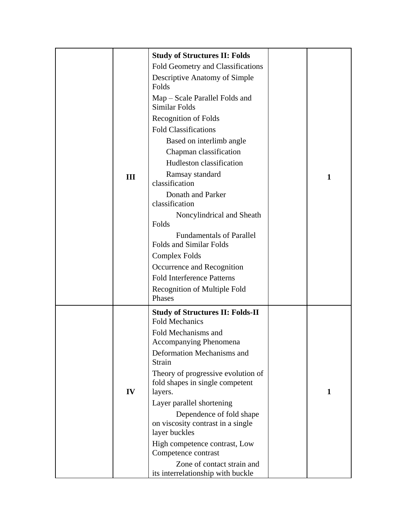|     | <b>Study of Structures II: Folds</b>                                             |   |
|-----|----------------------------------------------------------------------------------|---|
|     | Fold Geometry and Classifications                                                |   |
|     | Descriptive Anatomy of Simple<br>Folds                                           |   |
|     | Map – Scale Parallel Folds and<br>Similar Folds                                  |   |
|     | <b>Recognition of Folds</b>                                                      |   |
|     | <b>Fold Classifications</b>                                                      |   |
|     | Based on interlimb angle                                                         |   |
|     | Chapman classification                                                           |   |
|     | Hudleston classification                                                         |   |
| III | Ramsay standard<br>classification                                                | 1 |
|     | Donath and Parker<br>classification                                              |   |
|     | Noncylindrical and Sheath<br>Folds                                               |   |
|     | <b>Fundamentals of Parallel</b><br><b>Folds and Similar Folds</b>                |   |
|     | <b>Complex Folds</b>                                                             |   |
|     | Occurrence and Recognition                                                       |   |
|     | <b>Fold Interference Patterns</b>                                                |   |
|     | Recognition of Multiple Fold                                                     |   |
|     | Phases                                                                           |   |
|     | <b>Study of Structures II: Folds-II</b><br><b>Fold Mechanics</b>                 |   |
|     | Fold Mechanisms and<br><b>Accompanying Phenomena</b>                             |   |
|     | Deformation Mechanisms and<br>Strain                                             |   |
| IV  | Theory of progressive evolution of<br>fold shapes in single competent<br>layers. | 1 |
|     | Layer parallel shortening                                                        |   |
|     | Dependence of fold shape                                                         |   |
|     | on viscosity contrast in a single<br>layer buckles                               |   |
|     | High competence contrast, Low<br>Competence contrast                             |   |
|     | Zone of contact strain and                                                       |   |
|     | its interrelationship with buckle                                                |   |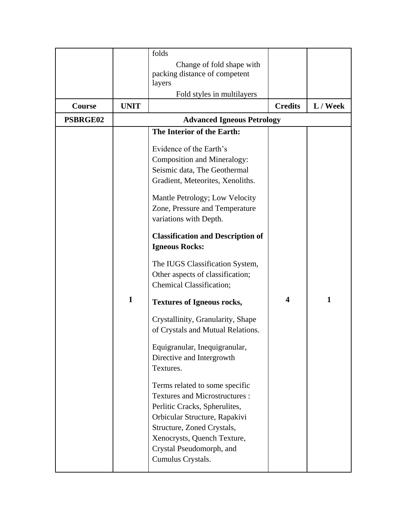|               |             | folds                                    |                         |              |
|---------------|-------------|------------------------------------------|-------------------------|--------------|
|               |             | Change of fold shape with                |                         |              |
|               |             | packing distance of competent            |                         |              |
|               |             | layers                                   |                         |              |
|               |             | Fold styles in multilayers               |                         |              |
| <b>Course</b> | <b>UNIT</b> |                                          | <b>Credits</b>          | L / Week     |
| PSBRGE02      |             | <b>Advanced Igneous Petrology</b>        |                         |              |
|               |             | The Interior of the Earth:               |                         |              |
|               |             | Evidence of the Earth's                  |                         |              |
|               |             | <b>Composition and Mineralogy:</b>       |                         |              |
|               |             | Seismic data, The Geothermal             |                         |              |
|               |             | Gradient, Meteorites, Xenoliths.         |                         |              |
|               |             |                                          |                         |              |
|               |             | Mantle Petrology; Low Velocity           |                         |              |
|               |             | Zone, Pressure and Temperature           |                         |              |
|               |             | variations with Depth.                   |                         |              |
|               |             | <b>Classification and Description of</b> |                         |              |
|               |             | <b>Igneous Rocks:</b>                    |                         |              |
|               |             |                                          |                         |              |
|               |             | The IUGS Classification System,          |                         |              |
|               |             | Other aspects of classification;         |                         |              |
|               |             | <b>Chemical Classification;</b>          |                         |              |
|               | I           | <b>Textures of Igneous rocks,</b>        | $\overline{\mathbf{4}}$ | $\mathbf{1}$ |
|               |             | Crystallinity, Granularity, Shape        |                         |              |
|               |             | of Crystals and Mutual Relations.        |                         |              |
|               |             |                                          |                         |              |
|               |             | Equigranular, Inequigranular,            |                         |              |
|               |             | Directive and Intergrowth                |                         |              |
|               |             | Textures.                                |                         |              |
|               |             | Terms related to some specific           |                         |              |
|               |             | <b>Textures and Microstructures:</b>     |                         |              |
|               |             | Perlitic Cracks, Spherulites,            |                         |              |
|               |             | Orbicular Structure, Rapakivi            |                         |              |
|               |             | Structure, Zoned Crystals,               |                         |              |
|               |             | Xenocrysts, Quench Texture,              |                         |              |
|               |             | Crystal Pseudomorph, and                 |                         |              |
|               |             | Cumulus Crystals.                        |                         |              |
|               |             |                                          |                         |              |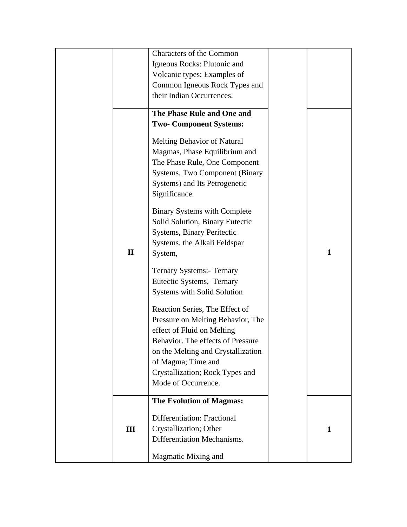|              | Characters of the Common              |              |
|--------------|---------------------------------------|--------------|
|              | Igneous Rocks: Plutonic and           |              |
|              | Volcanic types; Examples of           |              |
|              | Common Igneous Rock Types and         |              |
|              | their Indian Occurrences.             |              |
|              | The Phase Rule and One and            |              |
|              | <b>Two- Component Systems:</b>        |              |
|              |                                       |              |
|              | Melting Behavior of Natural           |              |
|              | Magmas, Phase Equilibrium and         |              |
|              | The Phase Rule, One Component         |              |
|              | <b>Systems, Two Component (Binary</b> |              |
|              | Systems) and Its Petrogenetic         |              |
|              | Significance.                         |              |
|              | <b>Binary Systems with Complete</b>   |              |
|              | Solid Solution, Binary Eutectic       |              |
|              | <b>Systems, Binary Peritectic</b>     |              |
|              | Systems, the Alkali Feldspar          |              |
| $\mathbf{I}$ | System,                               | 1            |
|              |                                       |              |
|              | <b>Ternary Systems:- Ternary</b>      |              |
|              | Eutectic Systems, Ternary             |              |
|              | <b>Systems with Solid Solution</b>    |              |
|              | Reaction Series, The Effect of        |              |
|              | Pressure on Melting Behavior, The     |              |
|              | effect of Fluid on Melting            |              |
|              | Behavior. The effects of Pressure     |              |
|              | on the Melting and Crystallization    |              |
|              | of Magma; Time and                    |              |
|              | Crystallization; Rock Types and       |              |
|              | Mode of Occurrence.                   |              |
|              |                                       |              |
|              | <b>The Evolution of Magmas:</b>       |              |
|              | Differentiation: Fractional           |              |
| III          | Crystallization; Other                | $\mathbf{1}$ |
|              | Differentiation Mechanisms.           |              |
|              | Magmatic Mixing and                   |              |
|              |                                       |              |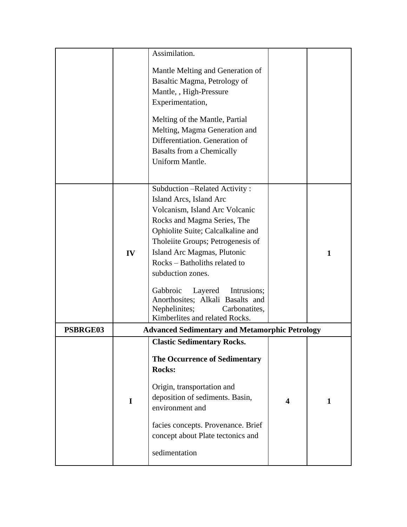|                 |             | Assimilation.                                                                                                                                                                                                                                                                                                                                                                                                                           |                         |              |
|-----------------|-------------|-----------------------------------------------------------------------------------------------------------------------------------------------------------------------------------------------------------------------------------------------------------------------------------------------------------------------------------------------------------------------------------------------------------------------------------------|-------------------------|--------------|
|                 |             | Mantle Melting and Generation of<br>Basaltic Magma, Petrology of<br>Mantle, , High-Pressure<br>Experimentation,<br>Melting of the Mantle, Partial<br>Melting, Magma Generation and<br>Differentiation. Generation of<br><b>Basalts from a Chemically</b><br>Uniform Mantle.                                                                                                                                                             |                         |              |
|                 | IV          | Subduction - Related Activity:<br>Island Arcs, Island Arc<br>Volcanism, Island Arc Volcanic<br>Rocks and Magma Series, The<br>Ophiolite Suite; Calcalkaline and<br>Tholeiite Groups; Petrogenesis of<br>Island Arc Magmas, Plutonic<br>Rocks - Batholiths related to<br>subduction zones.<br>Gabbroic<br>Intrusions;<br>Layered<br>Anorthosites; Alkali Basalts and<br>Nephelinites;<br>Carbonatites,<br>Kimberlites and related Rocks. |                         | $\mathbf{1}$ |
| <b>PSBRGE03</b> |             | <b>Advanced Sedimentary and Metamorphic Petrology</b>                                                                                                                                                                                                                                                                                                                                                                                   |                         |              |
|                 | $\mathbf I$ | <b>Clastic Sedimentary Rocks.</b><br>The Occurrence of Sedimentary<br><b>Rocks:</b><br>Origin, transportation and<br>deposition of sediments. Basin,<br>environment and<br>facies concepts. Provenance. Brief<br>concept about Plate tectonics and<br>sedimentation                                                                                                                                                                     | $\overline{\mathbf{4}}$ | 1            |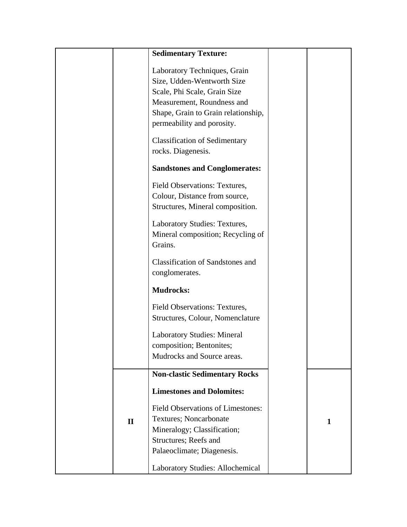|              | <b>Sedimentary Texture:</b>                                                                                                                                                                   |   |
|--------------|-----------------------------------------------------------------------------------------------------------------------------------------------------------------------------------------------|---|
|              | Laboratory Techniques, Grain<br>Size, Udden-Wentworth Size<br>Scale, Phi Scale, Grain Size<br>Measurement, Roundness and<br>Shape, Grain to Grain relationship,<br>permeability and porosity. |   |
|              | <b>Classification of Sedimentary</b><br>rocks. Diagenesis.                                                                                                                                    |   |
|              | <b>Sandstones and Conglomerates:</b>                                                                                                                                                          |   |
|              | Field Observations: Textures,<br>Colour, Distance from source,<br>Structures, Mineral composition.                                                                                            |   |
|              | Laboratory Studies: Textures,<br>Mineral composition; Recycling of<br>Grains.                                                                                                                 |   |
|              | <b>Classification of Sandstones and</b><br>conglomerates.                                                                                                                                     |   |
|              | <b>Mudrocks:</b>                                                                                                                                                                              |   |
|              | <b>Field Observations: Textures,</b><br>Structures, Colour, Nomenclature                                                                                                                      |   |
|              | <b>Laboratory Studies: Mineral</b><br>composition; Bentonites;<br>Mudrocks and Source areas.                                                                                                  |   |
|              | <b>Non-clastic Sedimentary Rocks</b>                                                                                                                                                          |   |
| $\mathbf{I}$ | <b>Limestones and Dolomites:</b><br><b>Field Observations of Limestones:</b><br>Textures; Noncarbonate<br>Mineralogy; Classification;                                                         | 1 |
|              | Structures; Reefs and<br>Palaeoclimate; Diagenesis.<br>Laboratory Studies: Allochemical                                                                                                       |   |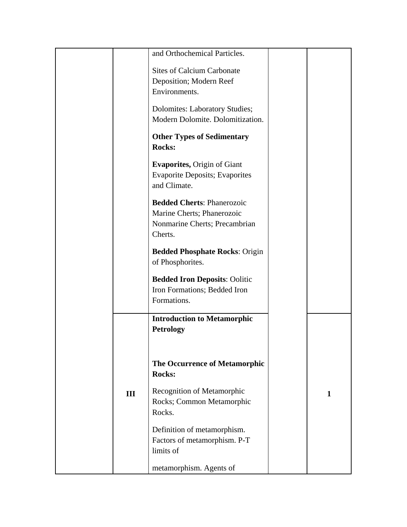|     | and Orthochemical Particles.          |   |
|-----|---------------------------------------|---|
|     | <b>Sites of Calcium Carbonate</b>     |   |
|     | Deposition; Modern Reef               |   |
|     | Environments.                         |   |
|     | Dolomites: Laboratory Studies;        |   |
|     | Modern Dolomite. Dolomitization.      |   |
|     |                                       |   |
|     | <b>Other Types of Sedimentary</b>     |   |
|     | <b>Rocks:</b>                         |   |
|     | <b>Evaporites, Origin of Giant</b>    |   |
|     | <b>Evaporite Deposits; Evaporites</b> |   |
|     | and Climate.                          |   |
|     | <b>Bedded Cherts: Phanerozoic</b>     |   |
|     | Marine Cherts; Phanerozoic            |   |
|     | Nonmarine Cherts; Precambrian         |   |
|     | Cherts.                               |   |
|     | <b>Bedded Phosphate Rocks: Origin</b> |   |
|     | of Phosphorites.                      |   |
|     | <b>Bedded Iron Deposits: Oolitic</b>  |   |
|     | Iron Formations; Bedded Iron          |   |
|     | Formations.                           |   |
|     |                                       |   |
|     | <b>Introduction to Metamorphic</b>    |   |
|     | <b>Petrology</b>                      |   |
|     |                                       |   |
|     | <b>The Occurrence of Metamorphic</b>  |   |
|     | <b>Rocks:</b>                         |   |
|     |                                       |   |
| III | Recognition of Metamorphic            | 1 |
|     | Rocks; Common Metamorphic<br>Rocks.   |   |
|     |                                       |   |
|     | Definition of metamorphism.           |   |
|     | Factors of metamorphism. P-T          |   |
|     | limits of                             |   |
|     | metamorphism. Agents of               |   |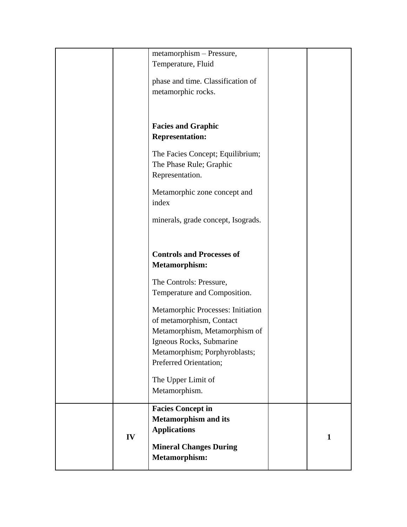|    | metamorphism - Pressure,           |              |
|----|------------------------------------|--------------|
|    | Temperature, Fluid                 |              |
|    |                                    |              |
|    | phase and time. Classification of  |              |
|    | metamorphic rocks.                 |              |
|    |                                    |              |
|    |                                    |              |
|    |                                    |              |
|    | <b>Facies and Graphic</b>          |              |
|    | <b>Representation:</b>             |              |
|    |                                    |              |
|    | The Facies Concept; Equilibrium;   |              |
|    | The Phase Rule; Graphic            |              |
|    | Representation.                    |              |
|    |                                    |              |
|    | Metamorphic zone concept and       |              |
|    | index                              |              |
|    |                                    |              |
|    | minerals, grade concept, Isograds. |              |
|    |                                    |              |
|    |                                    |              |
|    | <b>Controls and Processes of</b>   |              |
|    | <b>Metamorphism:</b>               |              |
|    |                                    |              |
|    | The Controls: Pressure,            |              |
|    | Temperature and Composition.       |              |
|    |                                    |              |
|    | Metamorphic Processes: Initiation  |              |
|    | of metamorphism, Contact           |              |
|    | Metamorphism, Metamorphism of      |              |
|    | Igneous Rocks, Submarine           |              |
|    | Metamorphism; Porphyroblasts;      |              |
|    | Preferred Orientation;             |              |
|    |                                    |              |
|    | The Upper Limit of                 |              |
|    | Metamorphism.                      |              |
|    |                                    |              |
|    | <b>Facies Concept in</b>           |              |
|    | <b>Metamorphism and its</b>        |              |
|    | <b>Applications</b>                |              |
| IV |                                    | $\mathbf{1}$ |
|    | <b>Mineral Changes During</b>      |              |
|    | <b>Metamorphism:</b>               |              |
|    |                                    |              |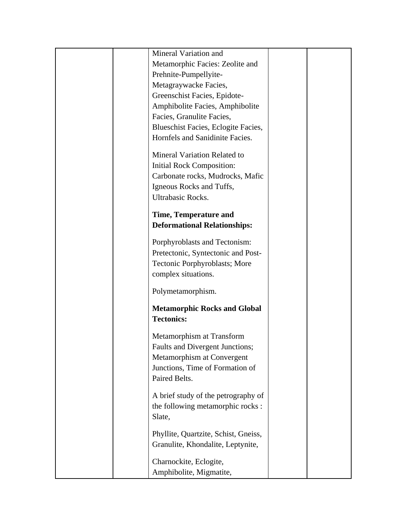| Mineral Variation and                |  |
|--------------------------------------|--|
| Metamorphic Facies: Zeolite and      |  |
| Prehnite-Pumpellyite-                |  |
| Metagraywacke Facies,                |  |
| Greenschist Facies, Epidote-         |  |
| Amphibolite Facies, Amphibolite      |  |
| Facies, Granulite Facies,            |  |
| Blueschist Facies, Eclogite Facies,  |  |
| Hornfels and Sanidinite Facies.      |  |
| Mineral Variation Related to         |  |
| <b>Initial Rock Composition:</b>     |  |
| Carbonate rocks, Mudrocks, Mafic     |  |
| Igneous Rocks and Tuffs,             |  |
| <b>Ultrabasic Rocks.</b>             |  |
| <b>Time, Temperature and</b>         |  |
| <b>Deformational Relationships:</b>  |  |
| Porphyroblasts and Tectonism:        |  |
| Pretectonic, Syntectonic and Post-   |  |
| Tectonic Porphyroblasts; More        |  |
| complex situations.                  |  |
| Polymetamorphism.                    |  |
| <b>Metamorphic Rocks and Global</b>  |  |
| <b>Tectonics:</b>                    |  |
| Metamorphism at Transform            |  |
| Faults and Divergent Junctions;      |  |
| Metamorphism at Convergent           |  |
| Junctions, Time of Formation of      |  |
| Paired Belts.                        |  |
| A brief study of the petrography of  |  |
| the following metamorphic rocks :    |  |
| Slate,                               |  |
| Phyllite, Quartzite, Schist, Gneiss, |  |
| Granulite, Khondalite, Leptynite,    |  |
| Charnockite, Eclogite,               |  |
|                                      |  |
| Amphibolite, Migmatite,              |  |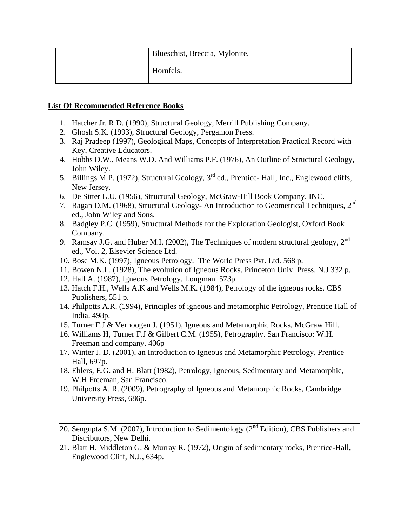| Blueschist, Breccia, Mylonite, |  |
|--------------------------------|--|
| Hornfels.                      |  |

# **List Of Recommended Reference Books**

- 1. Hatcher Jr. R.D. (1990), Structural Geology, Merrill Publishing Company.
- 2. Ghosh S.K. (1993), Structural Geology, Pergamon Press.
- 3. Raj Pradeep (1997), Geological Maps, Concepts of Interpretation Practical Record with Key, Creative Educators.
- 4. Hobbs D.W., Means W.D. And Williams P.F. (1976), An Outline of Structural Geology, John Wiley.
- 5. Billings M.P. (1972), Structural Geology, 3rd ed., Prentice- Hall, Inc., Englewood cliffs, New Jersey.
- 6. De Sitter L.U. (1956), Structural Geology, McGraw-Hill Book Company, INC.
- 7. Ragan D.M. (1968), Structural Geology- An Introduction to Geometrical Techniques, 2<sup>nd</sup> ed., John Wiley and Sons.
- 8. Badgley P.C. (1959), Structural Methods for the Exploration Geologist, Oxford Book Company.
- 9. Ramsay J.G. and Huber M.I. (2002), The Techniques of modern structural geology,  $2<sup>nd</sup>$ ed., Vol. 2, Elsevier Science Ltd.
- 10. Bose M.K. (1997), Igneous Petrology. The World Press Pvt. Ltd. 568 p.
- 11. Bowen N.L. (1928), The evolution of Igneous Rocks. Princeton Univ. Press. N.J 332 p.
- 12. Hall A. (1987), Igneous Petrology. Longman. 573p.
- 13. Hatch F.H., Wells A.K and Wells M.K. (1984), Petrology of the igneous rocks. CBS Publishers, 551 p.
- 14. Philpotts A.R. (1994), Principles of igneous and metamorphic Petrology, Prentice Hall of India. 498p.
- 15. Turner F.J & Verhoogen J. (1951), Igneous and Metamorphic Rocks, McGraw Hill.
- 16. Williams H, Turner F.J & Gilbert C.M. (1955), Petrography. San Francisco: W.H. Freeman and company. 406p
- 17. Winter J. D. (2001), an Introduction to Igneous and Metamorphic Petrology, Prentice Hall, 697p.
- 18. Ehlers, E.G. and H. Blatt (1982), Petrology, Igneous, Sedimentary and Metamorphic, W.H Freeman, San Francisco.
- 19. Philpotts A. R. (2009), Petrography of Igneous and Metamorphic Rocks, Cambridge University Press, 686p.
- 20. Sengupta S.M. (2007), Introduction to Sedimentology ( $2<sup>nd</sup>$  Edition), CBS Publishers and Distributors, New Delhi.
- 21. Blatt H, Middleton G. & Murray R. (1972), Origin of sedimentary rocks, Prentice-Hall, Englewood Cliff, N.J., 634p.